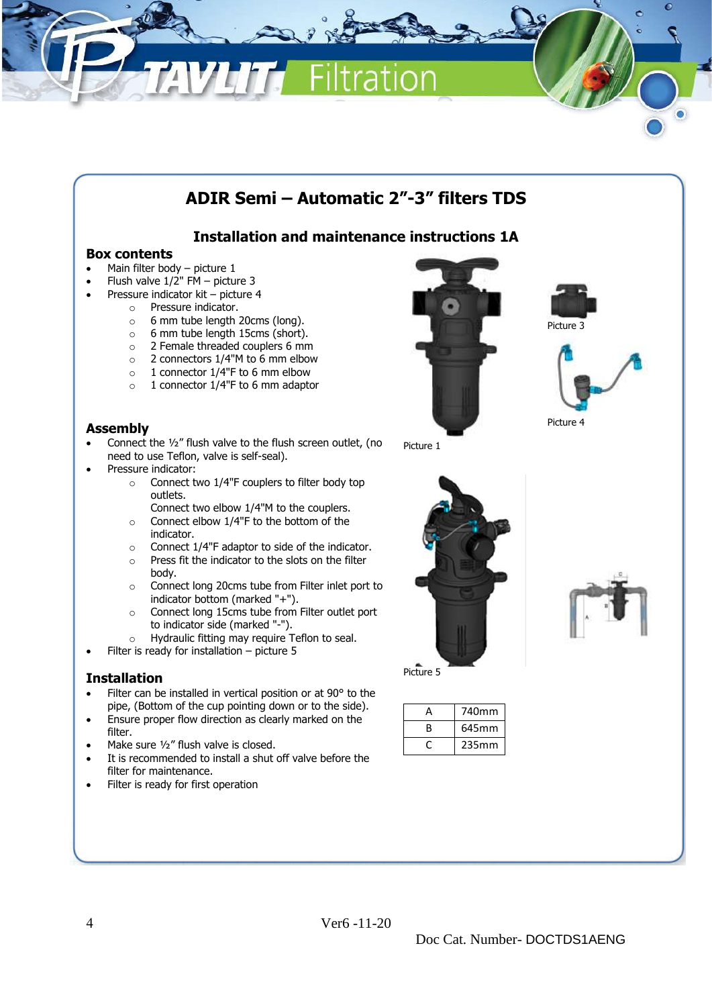

# **ADIR Semi – Automatic 2"-3" filters TDS**

# **Installation and maintenance instructions 1A**

# **Box contents**

- Main filter body picture 1
- Flush valve 1/2" FM picture 3
- Pressure indicator kit picture 4
	- o Pressure indicator.
		- $\circ$  6 mm tube length 20cms (long).<br> $\circ$  6 mm tube length 15cms (short)
		- o 6 mm tube length 15cms (short).
		- o 2 Female threaded couplers 6 mm
		- o 2 connectors 1/4"M to 6 mm elbow
		- $\circ$  1 connector 1/4"F to 6 mm elbow
		- o 1 connector 1/4"F to 6 mm adaptor

## **Assembly**

- Connect the 1/2" flush valve to the flush screen outlet, (no need to use Teflon, valve is self-seal).
- Pressure indicator:
	- o Connect two 1/4"F couplers to filter body top outlets.
		- Connect two elbow 1/4"M to the couplers.
	- o Connect elbow 1/4"F to the bottom of the indicator.
	- $\circ$  Connect 1/4"F adaptor to side of the indicator.
	- o Press fit the indicator to the slots on the filter body.
	- o Connect long 20cms tube from Filter inlet port to indicator bottom (marked "+").
	- o Connect long 15cms tube from Filter outlet port to indicator side (marked "-").
	- o Hydraulic fitting may require Teflon to seal.
- Filter is ready for installation  $-$  picture 5

#### **Installation**

- Filter can be installed in vertical position or at 90° to the pipe, (Bottom of the cup pointing down or to the side).
- Ensure proper flow direction as clearly marked on the filter.
- Make sure 1/2" flush valve is closed.
- It is recommended to install a shut off valve before the filter for maintenance.
- Filter is ready for first operation



Picture 3



Picture 1



Picture 5

| Д | 740mm |
|---|-------|
| R | 645mm |
|   | 235mm |

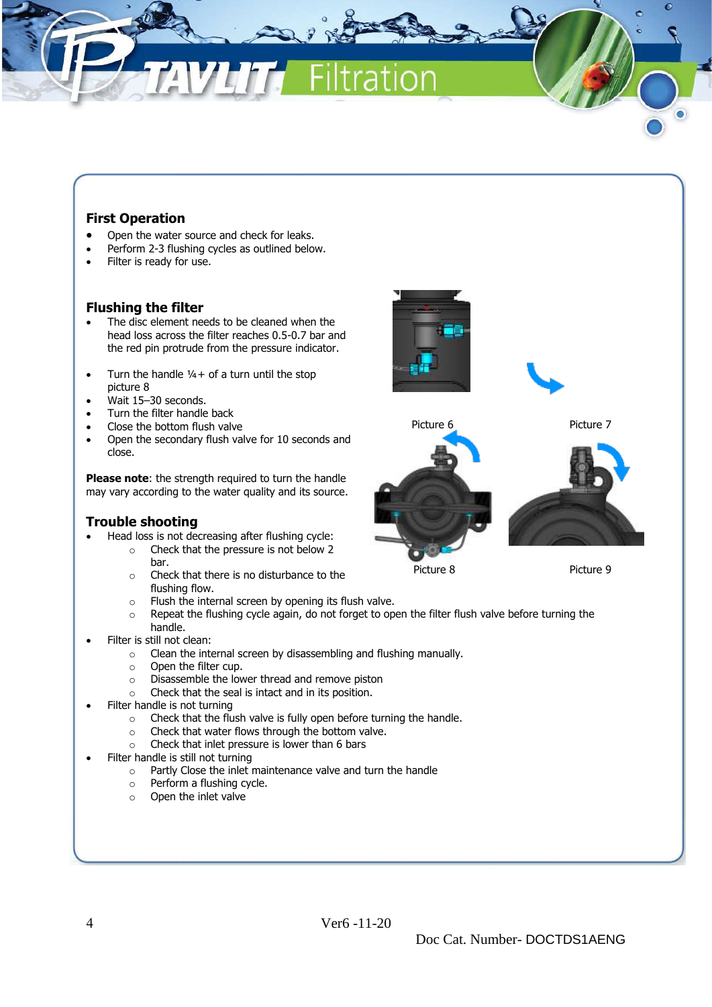# **First Operation**

- Open the water source and check for leaks.
- Perform 2-3 flushing cycles as outlined below.
- Filter is ready for use.

### **Flushing the filter**

- The disc element needs to be cleaned when the head loss across the filter reaches 0.5-0.7 bar and the red pin protrude from the pressure indicator.
- Turn the handle  $1/4+$  of a turn until the stop picture 8
- Wait 15–30 seconds.
- Turn the filter handle back
- Close the bottom flush valve
- Open the secondary flush valve for 10 seconds and close.

**Please note:** the strength required to turn the handle may vary according to the water quality and its source.

## **Trouble shooting**

- Head loss is not decreasing after flushing cycle:
	- o Check that the pressure is not below 2 bar.
	- o Check that there is no disturbance to the flushing flow.
	- o Flush the internal screen by opening its flush valve.
	- $\circ$  Repeat the flushing cycle again, do not forget to open the filter flush valve before turning the handle.
- Filter is still not clean:
	- o Clean the internal screen by disassembling and flushing manually.
	- o Open the filter cup.
	- o Disassemble the lower thread and remove piston
	- o Check that the seal is intact and in its position.
- Filter handle is not turning
	- o Check that the flush valve is fully open before turning the handle.
	- $\circ$  Check that water flows through the bottom valve.
	- o Check that inlet pressure is lower than 6 bars
- Filter handle is still not turning
	- o Partly Close the inlet maintenance valve and turn the handle
	- o Perform a flushing cycle.
	- o Open the inlet valve





Picture 6 Picture 7

Picture 8 Picture 9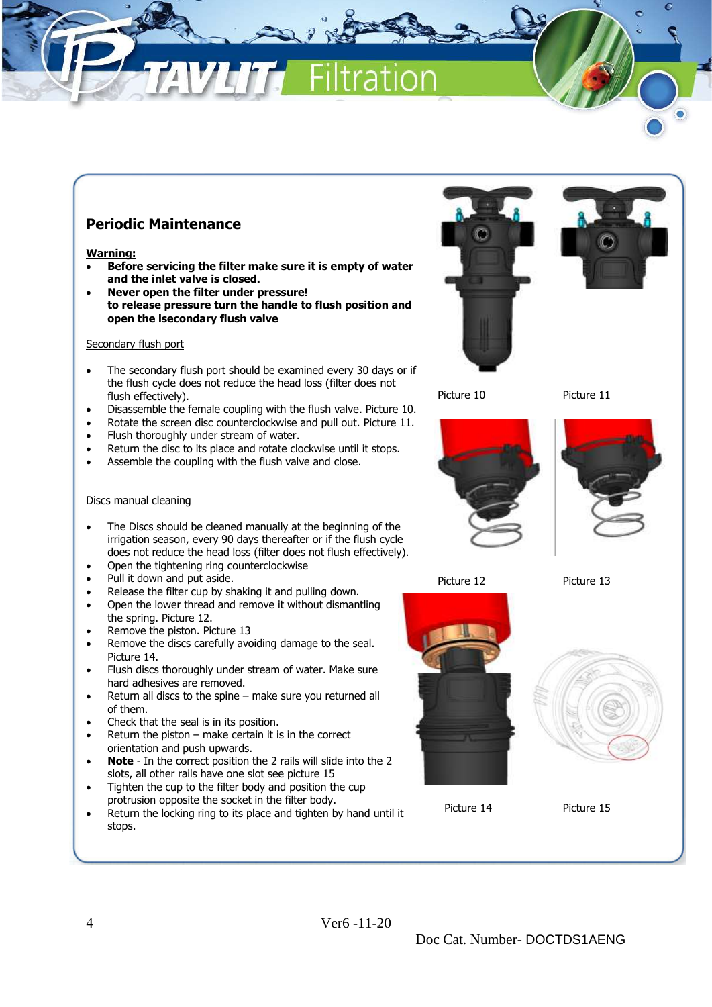# **Periodic Maintenance**

#### **Warning:**

- **Before servicing the filter make sure it is empty of water and the inlet valve is closed.**
- **Never open the filter under pressure! to release pressure turn the handle to flush position and open the lsecondary flush valve**

#### Secondary flush port

- The secondary flush port should be examined every 30 days or if the flush cycle does not reduce the head loss (filter does not flush effectively).
- Disassemble the female coupling with the flush valve. Picture 10.
- Rotate the screen disc counterclockwise and pull out. Picture 11.
- Flush thoroughly under stream of water.
- Return the disc to its place and rotate clockwise until it stops.
- Assemble the coupling with the flush valve and close.

#### Discs manual cleaning

- The Discs should be cleaned manually at the beginning of the irrigation season, every 90 days thereafter or if the flush cycle does not reduce the head loss (filter does not flush effectively).
- Open the tightening ring counterclockwise
- Pull it down and put aside.
- Release the filter cup by shaking it and pulling down.
- Open the lower thread and remove it without dismantling the spring. Picture 12.
- Remove the piston. Picture 13
- Remove the discs carefully avoiding damage to the seal. Picture 14.
- Flush discs thoroughly under stream of water. Make sure hard adhesives are removed.
- Return all discs to the spine make sure you returned all of them.
- Check that the seal is in its position.
- Return the piston  $-$  make certain it is in the correct orientation and push upwards.
- **Note** In the correct position the 2 rails will slide into the 2 slots, all other rails have one slot see picture 15
- Tighten the cup to the filter body and position the cup protrusion opposite the socket in the filter body.
- Return the locking ring to its place and tighten by hand until it stops.





Picture 10 Picture 11





Picture 12 Picture 13



Picture 14 Picture 15